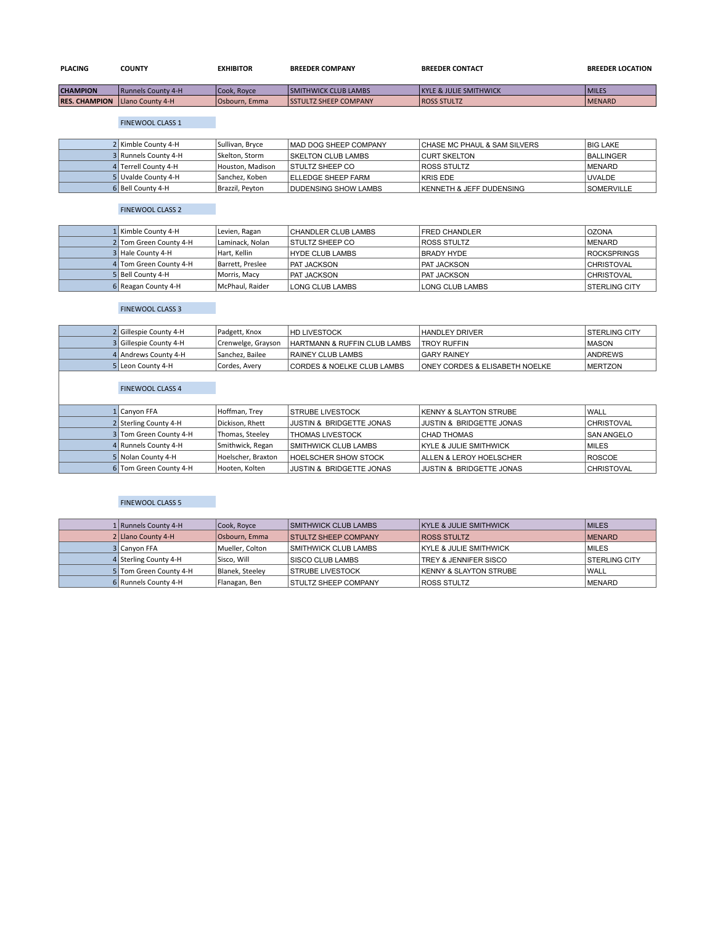| <b>PLACING</b>       | <b>COUNTY</b>              | <b>EXHIBITOR</b>       | <b>BREEDER COMPANY</b>        | <b>BREEDER CONTACT</b>            | <b>BREEDER LOCATION</b> |
|----------------------|----------------------------|------------------------|-------------------------------|-----------------------------------|-------------------------|
| <b>CHAMPION</b>      | <b>IRunnels County 4-H</b> | l Cook. Rovce          | <b>SMITHWICK CLUB LAMBS</b>   | <b>KYLE &amp; JULIE SMITHWICK</b> | <b>MILES</b>            |
| <b>RES. CHAMPION</b> | <b>ILlano County 4-H</b>   | <b>I</b> Osbourn, Emma | <b>ISSTULTZ SHEEP COMPANY</b> | <b>ROSS STULTZ</b>                | <b>MENARD</b>           |

**RES. CHAMPION |Llano County 4-H | Osbourn, Emma | SSTULTZ SHEEP COMPANY | ROSS STULTZ | ROSS STULTZ | MENARD | M** 

## FINEWOOL CLASS 1

| 2 Kimble County 4-H  | Sullivan, Bryce  | IMAD DOG SHEEP COMPANY      | <b>CHASE MC PHAUL &amp; SAM SILVERS</b> | <b>BIG LAKE</b>   |
|----------------------|------------------|-----------------------------|-----------------------------------------|-------------------|
| 3 Runnels County 4-H | Skelton, Storm   | <b>ISKELTON CLUB LAMBS</b>  | <b>CURT SKELTON</b>                     | <b>BALLINGER</b>  |
| 4 Terrell County 4-H | Houston. Madison | <b>STULTZ SHEEP CO</b>      | <b>ROSS STULTZ</b>                      | <b>IMENARD</b>    |
| 5 Uvalde County 4-H  | Sanchez, Koben   | <b>ELLEDGE SHEEP FARM</b>   | KRIS EDE                                | <b>UVALDE</b>     |
| 6 Bell County 4-H    | Brazzil, Peyton  | <b>DUDENSING SHOW LAMBS</b> | <b>IKENNETH &amp; JEFF DUDENSING</b>    | <b>SOMERVILLE</b> |

### FINEWOOL CLASS 2

| 1 Kimble County 4-H    | Levien, Ragan    | CHANDLER CLUB LAMBS    | <b>FRED CHANDLER</b> | <b>OZONA</b>         |
|------------------------|------------------|------------------------|----------------------|----------------------|
| 2 Tom Green County 4-H | Laminack. Nolan  | <b>STULTZ SHEEP CO</b> | <b>ROSS STULTZ</b>   | <b>MENARD</b>        |
| 3 Hale County 4-H      | Hart. Kellin     | <b>HYDE CLUB LAMBS</b> | <b>BRADY HYDE</b>    | <b>ROCKSPRINGS</b>   |
| 4 Tom Green County 4-H | Barrett, Preslee | <b>PAT JACKSON</b>     | <b>PAT JACKSON</b>   | <b>CHRISTOVAL</b>    |
| 5 Bell County 4-H      | Morris, Macy     | <b>PAT JACKSON</b>     | <b>PAT JACKSON</b>   | <b>CHRISTOVAL</b>    |
| 6 Reagan County 4-H    | McPhaul, Raider  | LONG CLUB LAMBS        | LONG CLUB LAMBS      | <b>STERLING CITY</b> |

## FINEWOOL CLASS 3

| 2 Gillespie County 4-H | Padgett, Knox      | <b>HD LIVESTOCK</b>          | <b>HANDLEY DRIVER</b>                     | <b>ISTERLING CITY</b> |
|------------------------|--------------------|------------------------------|-------------------------------------------|-----------------------|
| 3 Gillespie County 4-H | Crenwelge, Grayson | HARTMANN & RUFFIN CLUB LAMBS | <b>TROY RUFFIN</b>                        | <b>MASON</b>          |
| 4 Andrews County 4-H   | Sanchez, Bailee    | RAINEY CLUB LAMBS            | <b>GARY RAINEY</b>                        | ANDREWS               |
| 5 Leon County 4-H      | Cordes, Avery      | CORDES & NOELKE CLUB LAMBS   | <b>ONEY CORDES &amp; ELISABETH NOELKE</b> | <b>IMERTZON</b>       |

## FINEWOOL CLASS 4

| 1 Canvon FFA           | Hoffman, Trey      | <b>STRUBE LIVESTOCK</b>             | <b>KENNY &amp; SLAYTON STRUBE</b>   | <b>WALL</b>       |
|------------------------|--------------------|-------------------------------------|-------------------------------------|-------------------|
| 2 Sterling County 4-H  | Dickison, Rhett    | <b>JUSTIN &amp; BRIDGETTE JONAS</b> | <b>JUSTIN &amp; BRIDGETTE JONAS</b> | <b>CHRISTOVAL</b> |
| 3 Tom Green County 4-H | Thomas, Steeley    | <b>THOMAS LIVESTOCK</b>             | <b>CHAD THOMAS</b>                  | <b>SAN ANGELO</b> |
| 4 Runnels County 4-H   | Smithwick, Regan   | <b>SMITHWICK CLUB LAMBS</b>         | <b>KYLE &amp; JULIE SMITHWICK</b>   | <b>MILES</b>      |
| 5 Nolan County 4-H     | Hoelscher, Braxton | <b>HOELSCHER SHOW STOCK</b>         | <b>ALLEN &amp; LEROY HOELSCHER</b>  | ROSCOE            |
| 6 Tom Green County 4-H | Hooten, Kolten     | <b>JUSTIN &amp; BRIDGETTE JONAS</b> | <b>JUSTIN &amp; BRIDGETTE JONAS</b> | <b>CHRISTOVAL</b> |

## FINEWOOL CLASS 5

| 1 Runnels County 4-H   | Cook, Royce     | <b>SMITHWICK CLUB LAMBS</b> | <b>KYLE &amp; JULIE SMITHWICK</b> | <b>MILES</b>         |
|------------------------|-----------------|-----------------------------|-----------------------------------|----------------------|
| 2 Llano County 4-H     | Osbourn, Emma   | <b>STULTZ SHEEP COMPANY</b> | <b>ROSS STULTZ</b>                | <b>MENARD</b>        |
| 3 Canyon FFA           | Mueller, Colton | <b>SMITHWICK CLUB LAMBS</b> | <b>KYLE &amp; JULIE SMITHWICK</b> | <b>MILES</b>         |
| 4 Sterling County 4-H  | Sisco. Will     | <b>SISCO CLUB LAMBS</b>     | TREY & JENNIFER SISCO             | <b>STERLING CITY</b> |
| 5 Tom Green County 4-H | Blanek, Steeley | <b>STRUBE LIVESTOCK</b>     | <b>KENNY &amp; SLAYTON STRUBE</b> | <b>WALL</b>          |
| 6 Runnels County 4-H   | Flanagan, Ben   | <b>STULTZ SHEEP COMPANY</b> | <b>ROSS STULTZ</b>                | <b>MENARD</b>        |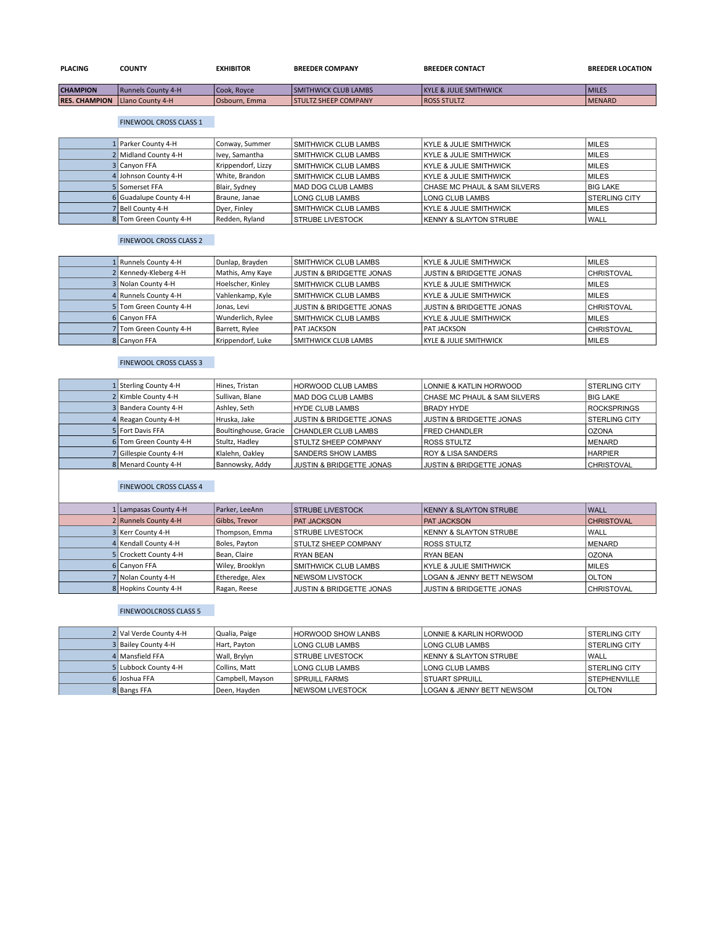| <b>PLACING</b>       | <b>COUNTY</b>             | <b>EXHIBITOR</b> | <b>BREEDER COMPANY</b>      | <b>BREEDER CONTACT</b>             | <b>BREEDER LOCATION</b> |
|----------------------|---------------------------|------------------|-----------------------------|------------------------------------|-------------------------|
| <b>CHAMPION</b>      | <b>Runnels County 4-H</b> | Cook. Rovce      | <b>SMITHWICK CLUB LAMBS</b> | <b>IKYLE &amp; JULIE SMITHWICK</b> | <b>IMILES</b>           |
| <b>RES. CHAMPION</b> | <b>ILlano County 4-H</b>  | Osbourn, Emma    | <b>STULTZ SHEEP COMPANY</b> | <b>ROSS STULTZ</b>                 | <b>IMENARD</b>          |

# FINEWOOL CROSS CLASS 1

| 1 Parker County 4-H    | Conway, Summer     | <b>SMITHWICK CLUB LAMBS</b> | <b>KYLE &amp; JULIE SMITHWICK</b>       | <b>MILES</b>          |
|------------------------|--------------------|-----------------------------|-----------------------------------------|-----------------------|
| 2 Midland County 4-H   | Ivey, Samantha     | <b>SMITHWICK CLUB LAMBS</b> | KYLE & JULIE SMITHWICK                  | <b>MILES</b>          |
| 3 Canyon FFA           | Krippendorf, Lizzy | <b>SMITHWICK CLUB LAMBS</b> | <b>KYLE &amp; JULIE SMITHWICK</b>       | <b>MILES</b>          |
| 4 Johnson County 4-H   | White, Brandon     | <b>SMITHWICK CLUB LAMBS</b> | <b>KYLE &amp; JULIE SMITHWICK</b>       | <b>MILES</b>          |
| 5 Somerset FFA         | Blair, Sydney      | MAD DOG CLUB LAMBS          | <b>CHASE MC PHAUL &amp; SAM SILVERS</b> | <b>BIG LAKE</b>       |
| 6 Guadalupe County 4-H | Braune, Janae      | LONG CLUB LAMBS             | LONG CLUB LAMBS                         | <b>ISTERLING CITY</b> |
| 7 Bell County 4-H      | Dyer, Finley       | <b>SMITHWICK CLUB LAMBS</b> | <b>IKYLE &amp; JULIE SMITHWICK</b>      | <b>MILES</b>          |
| 8 Tom Green County 4-H | Redden, Ryland     | <b>STRUBE LIVESTOCK</b>     | <b>KENNY &amp; SLAYTON STRUBE</b>       | <b>WALL</b>           |

## FINEWOOL CROSS CLASS 2

| 1 Runnels County 4-H   | Dunlap, Brayden   | <b>SMITHWICK CLUB LAMBS</b>         | <b>KYLE &amp; JULIE SMITHWICK</b>   | <b>IMILES</b>     |
|------------------------|-------------------|-------------------------------------|-------------------------------------|-------------------|
| 2 Kennedy-Kleberg 4-H  | Mathis, Amy Kaye  | <b>JUSTIN &amp; BRIDGETTE JONAS</b> | <b>JUSTIN &amp; BRIDGETTE JONAS</b> | <b>CHRISTOVAL</b> |
| 3 Nolan County 4-H     | Hoelscher, Kinley | <b>SMITHWICK CLUB LAMBS</b>         | <b>KYLE &amp; JULIE SMITHWICK</b>   | MILES             |
| 4 Runnels County 4-H   | Vahlenkamp, Kyle  | <b>SMITHWICK CLUB LAMBS</b>         | KYLE & JULIE SMITHWICK              | MILES             |
| 5 Tom Green County 4-H | Jonas, Levi       | <b>JUSTIN &amp; BRIDGETTE JONAS</b> | <b>JUSTIN &amp; BRIDGETTE JONAS</b> | <b>CHRISTOVAL</b> |
| 6 Canyon FFA           | Wunderlich, Rylee | <b>SMITHWICK CLUB LAMBS</b>         | <b>KYLE &amp; JULIE SMITHWICK</b>   | MILES             |
| Tom Green County 4-H   | Barrett, Rylee    | <b>PAT JACKSON</b>                  | <b>PAT JACKSON</b>                  | <b>CHRISTOVAL</b> |
| 8 Canyon FFA           | Krippendorf, Luke | <b>SMITHWICK CLUB LAMBS</b>         | KYLE & JULIE SMITHWICK              | <b>MILES</b>      |

## FINEWOOL CROSS CLASS 3

| 1 Sterling County 4-H  | Hines, Tristan        | <b>HORWOOD CLUB LAMBS</b>           | LONNIE & KATLIN HORWOOD                 | <b>ISTERLING CITY</b> |
|------------------------|-----------------------|-------------------------------------|-----------------------------------------|-----------------------|
| 2 Kimble County 4-H    | Sullivan, Blane       | MAD DOG CLUB LAMBS                  | <b>CHASE MC PHAUL &amp; SAM SILVERS</b> | <b>BIG LAKE</b>       |
| 3 Bandera County 4-H   | Ashley, Seth          | HYDE CLUB LAMBS                     | BRADY HYDE                              | <b>ROCKSPRINGS</b>    |
| 4 Reagan County 4-H    | Hruska, Jake          | <b>JUSTIN &amp; BRIDGETTE JONAS</b> | <b>JUSTIN &amp; BRIDGETTE JONAS</b>     | <b>STERLING CITY</b>  |
| 5 Fort Davis FFA       | Boultinghouse, Gracie | <b>CHANDLER CLUB LAMBS</b>          | <b>IFRED CHANDLER</b>                   | l OZONA               |
| 6 Tom Green County 4-H | Stultz, Hadley        | <b>STULTZ SHEEP COMPANY</b>         | <b>ROSS STULTZ</b>                      | <b>IMENARD</b>        |
| 7 Gillespie County 4-H | Klalehn, Oakley       | <b>SANDERS SHOW LAMBS</b>           | <b>IROY &amp; LISA SANDERS</b>          | <b>HARPIER</b>        |
| 8 Menard County 4-H    | Bannowsky, Addy       | <b>JUSTIN &amp; BRIDGETTE JONAS</b> | <b>JUSTIN &amp; BRIDGETTE JONAS</b>     | <b>CHRISTOVAL</b>     |
|                        |                       |                                     |                                         |                       |

# FINEWOOL CROSS CLASS 4

| 1 Lampasas County 4-H | Parker, LeeAnn  | <b>STRUBE LIVESTOCK</b>             | <b>KENNY &amp; SLAYTON STRUBE</b>    | <b>WALL</b>       |
|-----------------------|-----------------|-------------------------------------|--------------------------------------|-------------------|
| 2 Runnels County 4-H  | Gibbs, Trevor   | <b>PAT JACKSON</b>                  | <b>PAT JACKSON</b>                   | <b>CHRISTOVAL</b> |
| 3 Kerr County 4-H     | Thompson, Emma  | <b>ISTRUBE LIVESTOCK</b>            | <b>KENNY &amp; SLAYTON STRUBE</b>    | <b>WALL</b>       |
| 4 Kendall County 4-H  | Boles, Payton   | <b>STULTZ SHEEP COMPANY</b>         | <b>ROSS STULTZ</b>                   | <b>MENARD</b>     |
| 5 Crockett County 4-H | Bean, Claire    | <b>RYAN BEAN</b>                    | RYAN BEAN                            | <b>OZONA</b>      |
| 6 Canvon FFA          | Wiley, Brooklyn | <b>SMITHWICK CLUB LAMBS</b>         | <b>KYLE &amp; JULIE SMITHWICK</b>    | <b>MILES</b>      |
| 7 Nolan County 4-H    | Etheredge, Alex | <b>INEWSOM LIVSTOCK</b>             | <b>LOGAN &amp; JENNY BETT NEWSOM</b> | <b>OLTON</b>      |
| 8 Hopkins County 4-H  | Ragan, Reese    | <b>JUSTIN &amp; BRIDGETTE JONAS</b> | <b>JUSTIN &amp; BRIDGETTE JONAS</b>  | <b>CHRISTOVAL</b> |

## FINEWOOLCROSS CLASS 5

| 2 Val Verde County 4-H | Qualia, Paige    | <b>HORWOOD SHOW LANBS</b> | <b>LONNIE &amp; KARLIN HORWOOD</b>   | <b>ISTERLING CITY</b> |
|------------------------|------------------|---------------------------|--------------------------------------|-----------------------|
| 3 Bailey County 4-H    | Hart. Pavton     | LONG CLUB LAMBS           | LONG CLUB LAMBS                      | <b>STERLING CITY</b>  |
| 4 Mansfield FFA        | Wall, Brylyn     | <b>STRUBE LIVESTOCK</b>   | <b>IKENNY &amp; SLAYTON STRUBE</b>   | WALL                  |
| 5 Lubbock County 4-H   | Collins. Matt    | LONG CLUB LAMBS           | <b>LONG CLUB LAMBS</b>               | <b>ISTERLING CITY</b> |
| 6 Joshua FFA           | Campbell, Mayson | <b>SPRUILL FARMS</b>      | I STUART SPRUILL                     | <b>STEPHENVILLE</b>   |
| 8 Bangs FFA            | Deen, Hayden     | <b>INEWSOM LIVESTOCK</b>  | <b>LOGAN &amp; JENNY BETT NEWSOM</b> | <b>OLTON</b>          |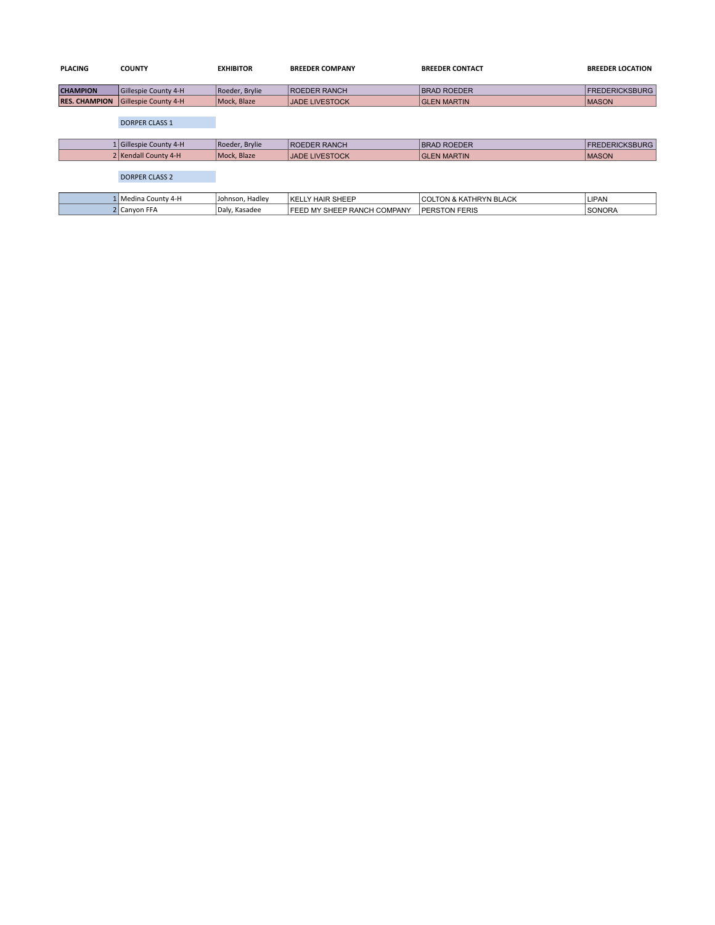| <b>PLACING</b>       | <b>COUNTY</b>          | <b>EXHIBITOR</b> | <b>BREEDER COMPANY</b>      | <b>BREEDER CONTACT</b>            | <b>BREEDER LOCATION</b> |
|----------------------|------------------------|------------------|-----------------------------|-----------------------------------|-------------------------|
|                      |                        |                  |                             |                                   |                         |
| <b>CHAMPION</b>      | Gillespie County 4-H   | Roeder, Brylie   | <b>ROEDER RANCH</b>         | <b>BRAD ROEDER</b>                | <b>FREDERICKSBURG</b>   |
| <b>RES. CHAMPION</b> | Gillespie County 4-H   | Mock, Blaze      | <b>JADE LIVESTOCK</b>       | <b>GLEN MARTIN</b>                | <b>MASON</b>            |
|                      |                        |                  |                             |                                   |                         |
|                      | <b>DORPER CLASS 1</b>  |                  |                             |                                   |                         |
|                      |                        |                  |                             |                                   |                         |
|                      | 1 Gillespie County 4-H | Roeder, Brylie   | <b>ROEDER RANCH</b>         | <b>BRAD ROEDER</b>                | <b>FREDERICKSBURG</b>   |
|                      | 2 Kendall County 4-H   | Mock, Blaze      | <b>JADE LIVESTOCK</b>       | <b>GLEN MARTIN</b>                | <b>MASON</b>            |
|                      |                        |                  |                             |                                   |                         |
|                      | <b>DORPER CLASS 2</b>  |                  |                             |                                   |                         |
|                      |                        |                  |                             |                                   |                         |
|                      | 1 Medina County 4-H    | Johnson, Hadley  | KELLY HAIR SHEEP            | <b>COLTON &amp; KATHRYN BLACK</b> | LIPAN                   |
|                      | 2 Canyon FFA           | Daly, Kasadee    | FEED MY SHEEP RANCH COMPANY | <b>PERSTON FERIS</b>              | <b>SONORA</b>           |
|                      |                        |                  |                             |                                   |                         |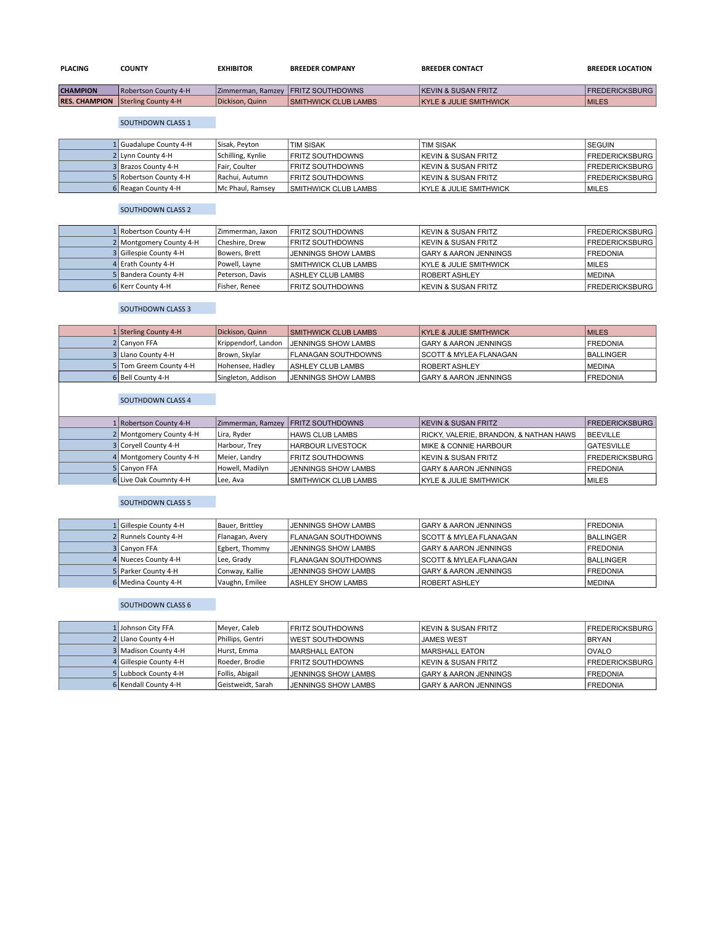| <b>PLACING</b>  | <b>COUNTY</b>               | <b>EXHIBITOR</b> | <b>BREEDER COMPANY</b>               | <b>BREEDER CONTACT</b>         | <b>BREEDER LOCATION</b> |
|-----------------|-----------------------------|------------------|--------------------------------------|--------------------------------|-------------------------|
| <b>CHAMPION</b> | <b>Robertson County 4-H</b> |                  | Zimmerman, Ramzey   FRITZ SOUTHDOWNS | <b>KEVIN &amp; SUSAN FRITZ</b> | <b>FREDERICKSBURG</b>   |

**RES. CHAMPION** Sterling County 4-H Dickison, Quinn SMITHWICK CLUB LAMBS KYLE & JULIE SMITHWICK MILES

## SOUTHDOWN CLASS 1

| 1 Guadalupe County 4-H | Sisak, Peyton     | <b>TIM SISAK</b>            | <b>TIM SISAK</b>                  | <b>SEGUIN</b>          |
|------------------------|-------------------|-----------------------------|-----------------------------------|------------------------|
| 2 Lynn County 4-H      | Schilling, Kynlie | <b>FRITZ SOUTHDOWNS</b>     | <b>IKEVIN &amp; SUSAN FRITZ</b>   | <b>IFREDERICKSBURG</b> |
| 3 Brazos County 4-H    | Fair. Coulter     | <b>FRITZ SOUTHDOWNS</b>     | <b>IKEVIN &amp; SUSAN FRITZ</b>   | <b>IFREDERICKSBURG</b> |
| 5 Robertson County 4-H | Rachui, Autumn    | <b>FRITZ SOUTHDOWNS</b>     | <b>IKEVIN &amp; SUSAN FRITZ</b>   | <b>FREDERICKSBURG</b>  |
| 6 Reagan County 4-H    | Mc Phaul, Ramsey  | <b>SMITHWICK CLUB LAMBS</b> | <b>KYLE &amp; JULIE SMITHWICK</b> | <b>IMILES</b>          |

#### SOUTHDOWN CLASS 2

| 1 Robertson County 4-H  | Zimmerman, Jaxon | FRITZ SOUTHDOWNS            | <b>IKEVIN &amp; SUSAN FRITZ</b>   | <b>FREDERICKSBURG</b> |
|-------------------------|------------------|-----------------------------|-----------------------------------|-----------------------|
| 2 Montgomery County 4-H | Cheshire, Drew   | FRITZ SOUTHDOWNS            | <b>KEVIN &amp; SUSAN FRITZ</b>    | <b>FREDERICKSBURG</b> |
| 3 Gillespie County 4-H  | Bowers. Brett    | JENNINGS SHOW LAMBS         | <b>GARY &amp; AARON JENNINGS</b>  | <b>FREDONIA</b>       |
| 4 Erath County 4-H      | Powell, Layne    | <b>SMITHWICK CLUB LAMBS</b> | <b>KYLE &amp; JULIE SMITHWICK</b> | MILES                 |
| 5 Bandera County 4-H    | Peterson, Davis  | <b>ASHLEY CLUB LAMBS</b>    | <b>ROBERT ASHLEY</b>              | <b>MEDINA</b>         |
| 6 Kerr County 4-H       | Fisher, Renee    | <b>FRITZ SOUTHDOWNS</b>     | <b>KEVIN &amp; SUSAN FRITZ</b>    | <b>FREDERICKSBURG</b> |

### SOUTHDOWN CLASS 3

| 1 Sterling County 4-H  | Dickison, Quinn     | <b>SMITHWICK CLUB LAMBS</b> | <b>KYLE &amp; JULIE SMITHWICK</b>  | <b>MILES</b>     |
|------------------------|---------------------|-----------------------------|------------------------------------|------------------|
| 2 Canyon FFA           | Krippendorf, Landon | <b>JENNINGS SHOW LAMBS</b>  | <b>GARY &amp; AARON JENNINGS</b>   | <b>FREDONIA</b>  |
| 3 Llano County 4-H     | Brown, Skylar       | <b>FLANAGAN SOUTHDOWNS</b>  | <b>ISCOTT &amp; MYLEA FLANAGAN</b> | <b>BALLINGER</b> |
| 5 Tom Greem County 4-H | Hohensee, Hadley    | <b>ASHLEY CLUB LAMBS</b>    | <b>ROBERT ASHLEY</b>               | <b>MEDINA</b>    |
| 6 Bell County 4-H      | Singleton, Addison  | <b>JENNINGS SHOW LAMBS</b>  | <b>GARY &amp; AARON JENNINGS</b>   | <b>IFREDONIA</b> |

## SOUTHDOWN CLASS 4

| 1 Robertson County 4-H  |                 | Zimmerman, Ramzey   FRITZ SOUTHDOWNS | <b>IKEVIN &amp; SUSAN FRITZ</b>        | <b>FREDERICKSBURG</b> |
|-------------------------|-----------------|--------------------------------------|----------------------------------------|-----------------------|
| 2 Montgomery County 4-H | Lira, Ryder     | <b>HAWS CLUB LAMBS</b>               | RICKY, VALERIE, BRANDON, & NATHAN HAWS | <b>BEEVILLE</b>       |
| 3 Corvell County 4-H    | Harbour, Trey   | HARBOUR LIVESTOCK                    | <b>IMIKE &amp; CONNIE HARBOUR</b>      | <b>GATESVILLE</b>     |
| 4 Montgomery County 4-H | Meier, Landry   | <b>FRITZ SOUTHDOWNS</b>              | <b>KEVIN &amp; SUSAN FRITZ</b>         | <b>FREDERICKSBURG</b> |
| 5 Canvon FFA            | Howell, Madilyn | JENNINGS SHOW LAMBS                  | <b>GARY &amp; AARON JENNINGS</b>       | <b>FREDONIA</b>       |
| 6 Live Oak Coumnty 4-H  | Lee, Ava        | <b>SMITHWICK CLUB LAMBS</b>          | <b>IKYLE &amp; JULIE SMITHWICK</b>     | <b>IMILES</b>         |

## SOUTHDOWN CLASS 5

| 1 Gillespie County 4-H | Bauer, Brittley | <b>JENNINGS SHOW LAMBS</b>  | <b>GARY &amp; AARON JENNINGS</b>  | <b>IFREDONIA</b> |
|------------------------|-----------------|-----------------------------|-----------------------------------|------------------|
| 2 Runnels County 4-H   | Flanagan, Avery | <b>IFLANAGAN SOUTHDOWNS</b> | <b>SCOTT &amp; MYLEA FLANAGAN</b> | <b>BALLINGER</b> |
| 3 Canvon FFA           | Egbert, Thommy  | <b>JENNINGS SHOW LAMBS</b>  | <b>GARY &amp; AARON JENNINGS</b>  | <b>IFREDONIA</b> |
| 4 Nueces County 4-H    | Lee, Grady      | <b>FLANAGAN SOUTHDOWNS</b>  | <b>SCOTT &amp; MYLEA FLANAGAN</b> | <b>BALLINGER</b> |
| 5 Parker County 4-H    | Conway, Kallie  | <b>JENNINGS SHOW LAMBS</b>  | <b>GARY &amp; AARON JENNINGS</b>  | <b>FREDONIA</b>  |
| 6 Medina County 4-H    | Vaughn, Emilee  | I ASHLEY SHOW LAMBS         | <b>IROBERT ASHLEY</b>             | <b>IMEDINA</b>   |

### SOUTHDOWN CLASS 6

| 1 Johnson City FFA     | Meyer, Caleb      | <b>FRITZ SOUTHDOWNS</b> | <b>IKEVIN &amp; SUSAN FRITZ</b>  | <b>FREDERICKSBURG</b> |
|------------------------|-------------------|-------------------------|----------------------------------|-----------------------|
| 2 Llano County 4-H     | Phillips, Gentri  | <b>WEST SOUTHDOWNS</b>  | <b>JAMES WEST</b>                | <b>BRYAN</b>          |
| 3 Madison County 4-H   | Hurst, Emma       | MARSHALL EATON          | <b>MARSHALL EATON</b>            | <b>OVALO</b>          |
| 4 Gillespie County 4-H | Roeder, Brodie    | <b>FRITZ SOUTHDOWNS</b> | <b>KEVIN &amp; SUSAN FRITZ</b>   | <b>FREDERICKSBURG</b> |
| 5 Lubbock County 4-H   | Follis, Abigail   | JENNINGS SHOW LAMBS     | <b>GARY &amp; AARON JENNINGS</b> | <b>FREDONIA</b>       |
| 6 Kendall County 4-H   | Geistweidt, Sarah | JENNINGS SHOW LAMBS     | I GARY & AARON JENNINGS          | <b>IFREDONIA</b>      |